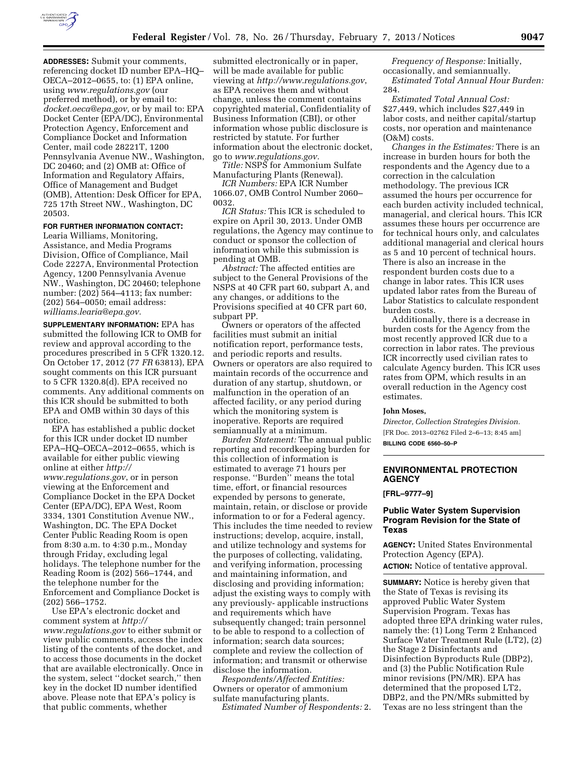

**ADDRESSES:** Submit your comments, referencing docket ID number EPA–HQ– OECA–2012–0655, to: (1) EPA online, using *[www.regulations.gov](http://www.regulations.gov)* (our preferred method), or by email to: *[docket.oeca@epa.gov,](mailto:docket.oeca@epa.gov)* or by mail to: EPA Docket Center (EPA/DC), Environmental Protection Agency, Enforcement and Compliance Docket and Information Center, mail code 28221T, 1200 Pennsylvania Avenue NW., Washington, DC 20460; and (2) OMB at: Office of Information and Regulatory Affairs, Office of Management and Budget (OMB), Attention: Desk Officer for EPA, 725 17th Street NW., Washington, DC 20503.

## **FOR FURTHER INFORMATION CONTACT:**

Learia Williams, Monitoring, Assistance, and Media Programs Division, Office of Compliance, Mail Code 2227A, Environmental Protection Agency, 1200 Pennsylvania Avenue NW., Washington, DC 20460; telephone number: (202) 564–4113; fax number: (202) 564–0050; email address: *[williams.learia@epa.gov.](mailto:williams.learia@epa.gov)* 

**SUPPLEMENTARY INFORMATION:** EPA has submitted the following ICR to OMB for review and approval according to the procedures prescribed in 5 CFR 1320.12. On October 17, 2012 (77 *FR* 63813), EPA sought comments on this ICR pursuant to 5 CFR 1320.8(d). EPA received no comments. Any additional comments on this ICR should be submitted to both EPA and OMB within 30 days of this notice.

EPA has established a public docket for this ICR under docket ID number EPA–HQ–OECA–2012–0655, which is available for either public viewing online at either *[http://](http://www.regulations.gov)  [www.regulations.gov](http://www.regulations.gov)*, or in person viewing at the Enforcement and Compliance Docket in the EPA Docket Center (EPA/DC), EPA West, Room 3334, 1301 Constitution Avenue NW., Washington, DC. The EPA Docket Center Public Reading Room is open from 8:30 a.m. to 4:30 p.m., Monday through Friday, excluding legal holidays. The telephone number for the Reading Room is (202) 566–1744, and the telephone number for the Enforcement and Compliance Docket is (202) 566–1752.

Use EPA's electronic docket and comment system at *[http://](http://www.regulations.gov) [www.regulations.gov](http://www.regulations.gov)* to either submit or view public comments, access the index listing of the contents of the docket, and to access those documents in the docket that are available electronically. Once in the system, select ''docket search,'' then key in the docket ID number identified above. Please note that EPA's policy is that public comments, whether

submitted electronically or in paper, will be made available for public viewing at *<http://www.regulations.gov>*, as EPA receives them and without change, unless the comment contains copyrighted material, Confidentiality of Business Information (CBI), or other information whose public disclosure is restricted by statute. For further information about the electronic docket, go to *[www.regulations.gov.](http://www.regulations.gov)* 

*Title:* NSPS for Ammonium Sulfate Manufacturing Plants (Renewal).

*ICR Numbers:* EPA ICR Number 1066.07, OMB Control Number 2060– 0032.

*ICR Status:* This ICR is scheduled to expire on April 30, 2013. Under OMB regulations, the Agency may continue to conduct or sponsor the collection of information while this submission is pending at OMB.

*Abstract:* The affected entities are subject to the General Provisions of the NSPS at 40 CFR part 60, subpart A, and any changes, or additions to the Provisions specified at 40 CFR part 60, subpart PP.

Owners or operators of the affected facilities must submit an initial notification report, performance tests, and periodic reports and results. Owners or operators are also required to maintain records of the occurrence and duration of any startup, shutdown, or malfunction in the operation of an affected facility, or any period during which the monitoring system is inoperative. Reports are required semiannually at a minimum.

*Burden Statement:* The annual public reporting and recordkeeping burden for this collection of information is estimated to average 71 hours per response. ''Burden'' means the total time, effort, or financial resources expended by persons to generate, maintain, retain, or disclose or provide information to or for a Federal agency. This includes the time needed to review instructions; develop, acquire, install, and utilize technology and systems for the purposes of collecting, validating, and verifying information, processing and maintaining information, and disclosing and providing information; adjust the existing ways to comply with any previously- applicable instructions and requirements which have subsequently changed; train personnel to be able to respond to a collection of information; search data sources; complete and review the collection of information; and transmit or otherwise disclose the information.

*Respondents/Affected Entities:*  Owners or operator of ammonium sulfate manufacturing plants.

*Estimated Number of Respondents:* 2.

*Frequency of Response:* Initially, occasionally, and semiannually. *Estimated Total Annual Hour Burden:*  284.

*Estimated Total Annual Cost:*  \$27,449, which includes \$27,449 in labor costs, and neither capital/startup costs, nor operation and maintenance (O&M) costs.

*Changes in the Estimates:* There is an increase in burden hours for both the respondents and the Agency due to a correction in the calculation methodology. The previous ICR assumed the hours per occurrence for each burden activity included technical, managerial, and clerical hours. This ICR assumes these hours per occurrence are for technical hours only, and calculates additional managerial and clerical hours as 5 and 10 percent of technical hours. There is also an increase in the respondent burden costs due to a change in labor rates. This ICR uses updated labor rates from the Bureau of Labor Statistics to calculate respondent burden costs.

Additionally, there is a decrease in burden costs for the Agency from the most recently approved ICR due to a correction in labor rates. The previous ICR incorrectly used civilian rates to calculate Agency burden. This ICR uses rates from OPM, which results in an overall reduction in the Agency cost estimates.

#### **John Moses,**

*Director, Collection Strategies Division.*  [FR Doc. 2013–02762 Filed 2–6–13; 8:45 am] **BILLING CODE 6560–50–P** 

## **ENVIRONMENTAL PROTECTION AGENCY**

**[FRL–9777–9]** 

### **Public Water System Supervision Program Revision for the State of Texas**

**AGENCY:** United States Environmental Protection Agency (EPA). **ACTION:** Notice of tentative approval.

**SUMMARY:** Notice is hereby given that the State of Texas is revising its approved Public Water System Supervision Program. Texas has adopted three EPA drinking water rules, namely the: (1) Long Term 2 Enhanced Surface Water Treatment Rule (LT2), (2) the Stage 2 Disinfectants and Disinfection Byproducts Rule (DBP2), and (3) the Public Notification Rule minor revisions (PN/MR). EPA has determined that the proposed LT2, DBP2, and the PN/MRs submitted by Texas are no less stringent than the